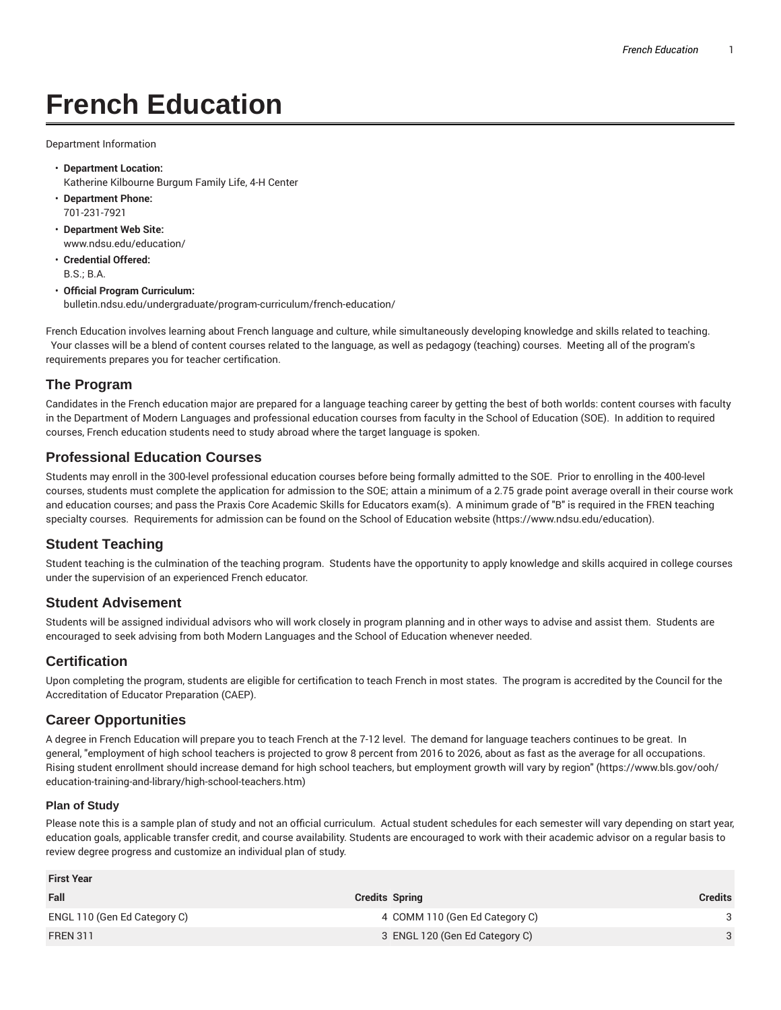# **French Education**

Department Information

- **Department Location:** Katherine Kilbourne Burgum Family Life, 4-H Center
- **Department Phone:** 701-231-7921
- **Department Web Site:** www.ndsu.edu/education/
- **Credential Offered:** B.S.; B.A.
- **Official Program Curriculum:** bulletin.ndsu.edu/undergraduate/program-curriculum/french-education/

French Education involves learning about French language and culture, while simultaneously developing knowledge and skills related to teaching. Your classes will be a blend of content courses related to the language, as well as pedagogy (teaching) courses. Meeting all of the program's requirements prepares you for teacher certification.

## **The Program**

Candidates in the French education major are prepared for a language teaching career by getting the best of both worlds: content courses with faculty in the Department of Modern Languages and professional education courses from faculty in the School of Education (SOE). In addition to required courses, French education students need to study abroad where the target language is spoken.

#### **Professional Education Courses**

Students may enroll in the 300-level professional education courses before being formally admitted to the SOE. Prior to enrolling in the 400-level courses, students must complete the application for admission to the SOE; attain a minimum of a 2.75 grade point average overall in their course work and education courses; and pass the Praxis Core Academic Skills for Educators exam(s). A minimum grade of "B" is required in the FREN teaching specialty courses. Requirements for admission can be found on the School of Education website (https://www.ndsu.edu/education).

## **Student Teaching**

Student teaching is the culmination of the teaching program. Students have the opportunity to apply knowledge and skills acquired in college courses under the supervision of an experienced French educator.

## **Student Advisement**

Students will be assigned individual advisors who will work closely in program planning and in other ways to advise and assist them. Students are encouraged to seek advising from both Modern Languages and the School of Education whenever needed.

## **Certification**

Upon completing the program, students are eligible for certification to teach French in most states. The program is accredited by the Council for the Accreditation of Educator Preparation (CAEP).

#### **Career Opportunities**

A degree in French Education will prepare you to teach French at the 7-12 level. The demand for language teachers continues to be great. In general, "employment of high school teachers is projected to grow 8 percent from 2016 to 2026, about as fast as the average for all occupations. Rising student enrollment should increase demand for high school teachers, but employment growth will vary by region" (https://www.bls.gov/ooh/ education-training-and-library/high-school-teachers.htm)

#### **Plan of Study**

Please note this is a sample plan of study and not an official curriculum. Actual student schedules for each semester will vary depending on start year, education goals, applicable transfer credit, and course availability. Students are encouraged to work with their academic advisor on a regular basis to review degree progress and customize an individual plan of study.

| <b>First Year</b>            |                                |                |  |  |
|------------------------------|--------------------------------|----------------|--|--|
| Fall                         | <b>Credits Spring</b>          | <b>Credits</b> |  |  |
| ENGL 110 (Gen Ed Category C) | 4 COMM 110 (Gen Ed Category C) |                |  |  |
| <b>FREN 311</b>              | 3 ENGL 120 (Gen Ed Category C) |                |  |  |